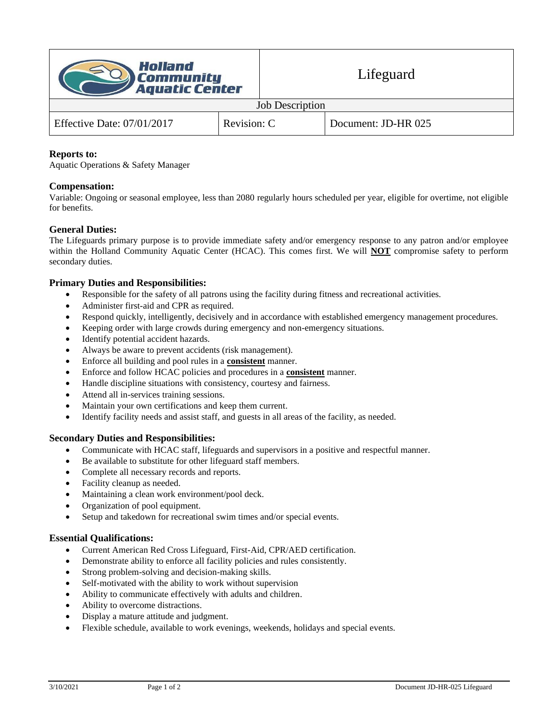

#### Job Description

| Effective Date: $07/01/2017$ | Revision: C | Document: JD-HR 025 |
|------------------------------|-------------|---------------------|

## **Reports to:**

Aquatic Operations & Safety Manager

# **Compensation:**

Variable: Ongoing or seasonal employee, less than 2080 regularly hours scheduled per year, eligible for overtime, not eligible for benefits.

## **General Duties:**

The Lifeguards primary purpose is to provide immediate safety and/or emergency response to any patron and/or employee within the Holland Community Aquatic Center (HCAC). This comes first. We will **NOT** compromise safety to perform secondary duties.

## **Primary Duties and Responsibilities:**

- Responsible for the safety of all patrons using the facility during fitness and recreational activities.
- Administer first-aid and CPR as required.
- Respond quickly, intelligently, decisively and in accordance with established emergency management procedures.
- Keeping order with large crowds during emergency and non-emergency situations.
- Identify potential accident hazards.
- Always be aware to prevent accidents (risk management).
- Enforce all building and pool rules in a **consistent** manner.
- Enforce and follow HCAC policies and procedures in a **consistent** manner.
- Handle discipline situations with consistency, courtesy and fairness.
- Attend all in-services training sessions.
- Maintain your own certifications and keep them current.
- Identify facility needs and assist staff, and guests in all areas of the facility, as needed.

#### **Secondary Duties and Responsibilities:**

- Communicate with HCAC staff, lifeguards and supervisors in a positive and respectful manner.
- Be available to substitute for other lifeguard staff members.
- Complete all necessary records and reports.
- Facility cleanup as needed.
- Maintaining a clean work environment/pool deck.
- Organization of pool equipment.
- Setup and takedown for recreational swim times and/or special events.

#### **Essential Qualifications:**

- Current American Red Cross Lifeguard, First-Aid, CPR/AED certification.
- Demonstrate ability to enforce all facility policies and rules consistently.
- Strong problem-solving and decision-making skills.
- Self-motivated with the ability to work without supervision
- Ability to communicate effectively with adults and children.
- Ability to overcome distractions.
- Display a mature attitude and judgment.
- Flexible schedule, available to work evenings, weekends, holidays and special events.